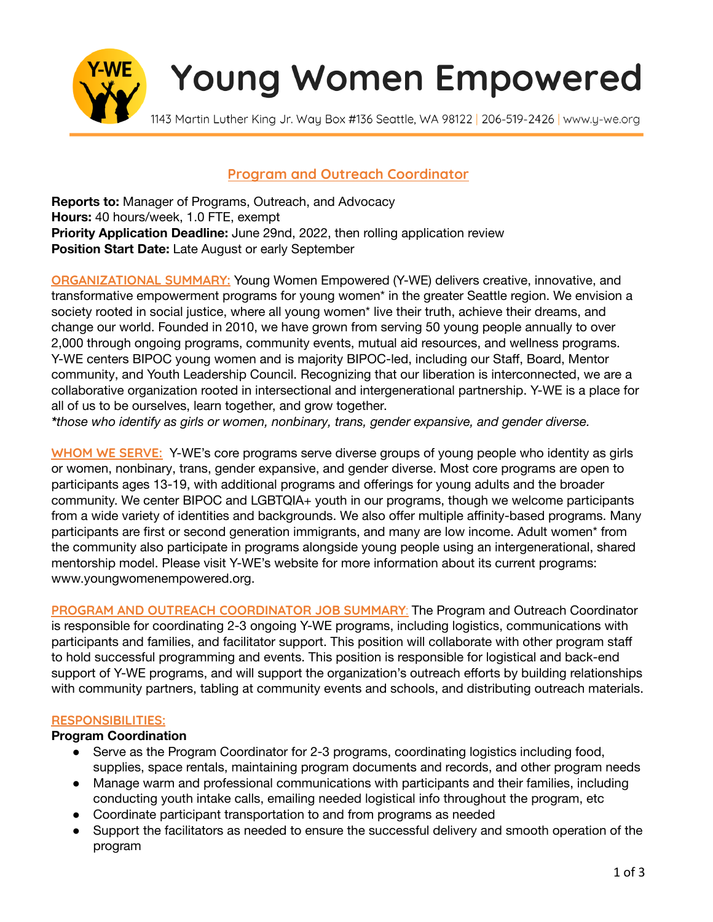

# **Young Women Empowered**

1143 Martin Luther King Jr. Way Box #136 Seattle, WA 98122 | 206-519-2426 | www.y-we.org

## **Program and Outreach Coordinator**

**Reports to:** Manager of Programs, Outreach, and Advocacy **Hours:** 40 hours/week, 1.0 FTE, exempt **Priority Application Deadline:** June 29nd, 2022, then rolling application review **Position Start Date:** Late August or early September

**ORGANIZATIONAL SUMMARY:** Young Women Empowered (Y-WE) delivers creative, innovative, and transformative empowerment programs for young women\* in the greater Seattle region. We envision a society rooted in social justice, where all young women\* live their truth, achieve their dreams, and change our world. Founded in 2010, we have grown from serving 50 young people annually to over 2,000 through ongoing programs, community events, mutual aid resources, and wellness programs. Y-WE centers BIPOC young women and is majority BIPOC-led, including our Staff, Board, Mentor community, and Youth Leadership Council. Recognizing that our liberation is interconnected, we are a collaborative organization rooted in intersectional and intergenerational partnership. Y-WE is a place for all of us to be ourselves, learn together, and grow together.

*\*those who identify as girls or women, nonbinary, trans, gender expansive, and gender diverse.*

**WHOM WE SERVE:** Y-WE's core programs serve diverse groups of young people who identity as girls or women, nonbinary, trans, gender expansive, and gender diverse. Most core programs are open to participants ages 13-19, with additional programs and offerings for young adults and the broader community. We center BIPOC and LGBTQIA+ youth in our programs, though we welcome participants from a wide variety of identities and backgrounds. We also offer multiple affinity-based programs. Many participants are first or second generation immigrants, and many are low income. Adult women\* from the community also participate in programs alongside young people using an intergenerational, shared mentorship model. Please visit Y-WE's website for more information about its current programs: www.youngwomenempowered.org.

**PROGRAM AND OUTREACH COORDINATOR JOB SUMMARY**: The Program and Outreach Coordinator is responsible for coordinating 2-3 ongoing Y-WE programs, including logistics, communications with participants and families, and facilitator support. This position will collaborate with other program staff to hold successful programming and events. This position is responsible for logistical and back-end support of Y-WE programs, and will support the organization's outreach efforts by building relationships with community partners, tabling at community events and schools, and distributing outreach materials.

#### **RESPONSIBILITIES:**

#### **Program Coordination**

- Serve as the Program Coordinator for 2-3 programs, coordinating logistics including food, supplies, space rentals, maintaining program documents and records, and other program needs
- Manage warm and professional communications with participants and their families, including conducting youth intake calls, emailing needed logistical info throughout the program, etc
- Coordinate participant transportation to and from programs as needed
- Support the facilitators as needed to ensure the successful delivery and smooth operation of the program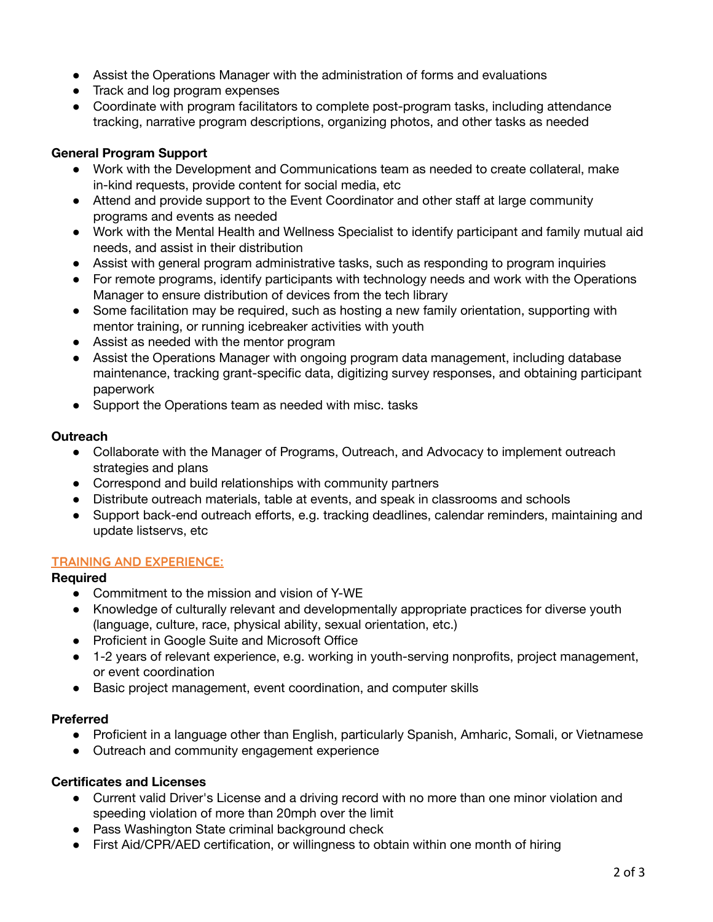- Assist the Operations Manager with the administration of forms and evaluations
- Track and log program expenses
- Coordinate with program facilitators to complete post-program tasks, including attendance tracking, narrative program descriptions, organizing photos, and other tasks as needed

## **General Program Support**

- *●* Work with the Development and Communications team as needed to create collateral, make in-kind requests, provide content for social media, etc
- Attend and provide support to the Event Coordinator and other staff at large community programs and events as needed
- Work with the Mental Health and Wellness Specialist to identify participant and family mutual aid needs, and assist in their distribution
- Assist with general program administrative tasks, such as responding to program inquiries
- For remote programs, identify participants with technology needs and work with the Operations Manager to ensure distribution of devices from the tech library
- Some facilitation may be required, such as hosting a new family orientation, supporting with mentor training, or running icebreaker activities with youth
- *●* Assist as needed with the mentor program
- Assist the Operations Manager with ongoing program data management, including database maintenance, tracking grant-specific data, digitizing survey responses, and obtaining participant paperwork
- *●* Support the Operations team as needed with misc. tasks

## **Outreach**

- Collaborate with the Manager of Programs, Outreach, and Advocacy to implement outreach strategies and plans
- Correspond and build relationships with community partners
- Distribute outreach materials, table at events, and speak in classrooms and schools
- Support back-end outreach efforts, e.g. tracking deadlines, calendar reminders, maintaining and update listservs, etc

#### **TRAINING AND EXPERIENCE:**

# **Required**

- Commitment to the mission and vision of Y-WE
- Knowledge of culturally relevant and developmentally appropriate practices for diverse youth (language, culture, race, physical ability, sexual orientation, etc.)
- Proficient in Google Suite and Microsoft Office
- 1-2 years of relevant experience, e.g. working in youth-serving nonprofits, project management, or event coordination
- Basic project management, event coordination, and computer skills

# **Preferred**

- Proficient in a language other than English, particularly Spanish, Amharic, Somali, or Vietnamese
- Outreach and community engagement experience

# **Certificates and Licenses**

- Current valid Driver's License and a driving record with no more than one minor violation and speeding violation of more than 20mph over the limit
- Pass Washington State criminal background check
- First Aid/CPR/AED certification, or willingness to obtain within one month of hiring